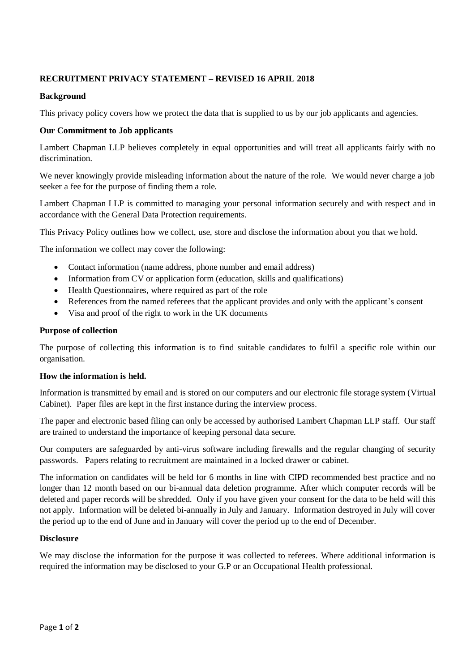# **RECRUITMENT PRIVACY STATEMENT – REVISED 16 APRIL 2018**

# **Background**

This privacy policy covers how we protect the data that is supplied to us by our job applicants and agencies.

# **Our Commitment to Job applicants**

Lambert Chapman LLP believes completely in equal opportunities and will treat all applicants fairly with no discrimination.

We never knowingly provide misleading information about the nature of the role. We would never charge a job seeker a fee for the purpose of finding them a role.

Lambert Chapman LLP is committed to managing your personal information securely and with respect and in accordance with the General Data Protection requirements.

This Privacy Policy outlines how we collect, use, store and disclose the information about you that we hold.

The information we collect may cover the following:

- Contact information (name address, phone number and email address)
- Information from CV or application form (education, skills and qualifications)
- Health Questionnaires, where required as part of the role
- References from the named referees that the applicant provides and only with the applicant's consent
- Visa and proof of the right to work in the UK documents

#### **Purpose of collection**

The purpose of collecting this information is to find suitable candidates to fulfil a specific role within our organisation.

### **How the information is held.**

Information is transmitted by email and is stored on our computers and our electronic file storage system (Virtual Cabinet). Paper files are kept in the first instance during the interview process.

The paper and electronic based filing can only be accessed by authorised Lambert Chapman LLP staff. Our staff are trained to understand the importance of keeping personal data secure.

Our computers are safeguarded by anti-virus software including firewalls and the regular changing of security passwords. Papers relating to recruitment are maintained in a locked drawer or cabinet.

The information on candidates will be held for 6 months in line with CIPD recommended best practice and no longer than 12 month based on our bi-annual data deletion programme. After which computer records will be deleted and paper records will be shredded. Only if you have given your consent for the data to be held will this not apply. Information will be deleted bi-annually in July and January. Information destroyed in July will cover the period up to the end of June and in January will cover the period up to the end of December.

### **Disclosure**

We may disclose the information for the purpose it was collected to referees. Where additional information is required the information may be disclosed to your G.P or an Occupational Health professional.